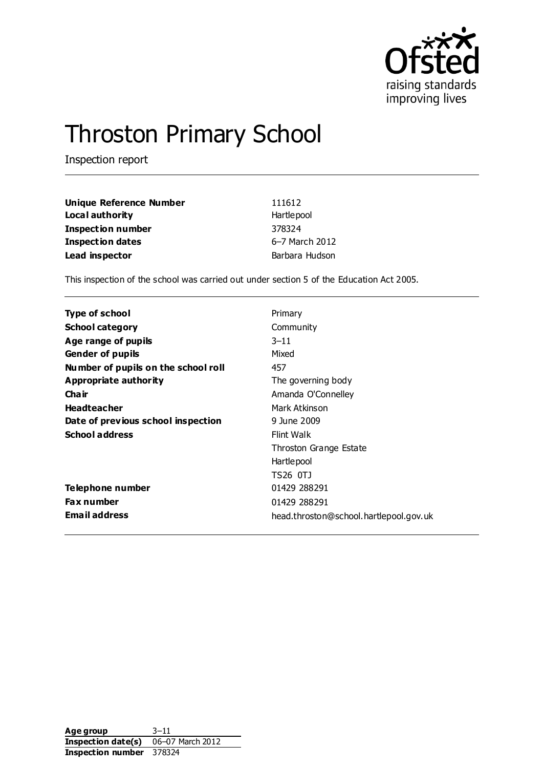

# Throston Primary School

Inspection report

| <b>Unique Reference Number</b> | 111612         |
|--------------------------------|----------------|
| Local authority                | Hartlepool     |
| <b>Inspection number</b>       | 378324         |
| <b>Inspection dates</b>        | 6-7 March 2012 |
| Lead inspector                 | Barbara Hudson |

This inspection of the school was carried out under section 5 of the Education Act 2005.

| Type of school                      | Primary                                |
|-------------------------------------|----------------------------------------|
| <b>School category</b>              | Community                              |
| Age range of pupils                 | $3 - 11$                               |
| <b>Gender of pupils</b>             | Mixed                                  |
| Number of pupils on the school roll | 457                                    |
| Appropriate authority               | The governing body                     |
| Cha ir                              | Amanda O'Connelley                     |
| <b>Headteacher</b>                  | Mark Atkinson                          |
| Date of previous school inspection  | 9 June 2009                            |
| <b>School address</b>               | Flint Walk                             |
|                                     | Throston Grange Estate                 |
|                                     | Hartlepool                             |
|                                     | TS26 0TJ                               |
| Telephone number                    | 01429 288291                           |
| <b>Fax number</b>                   | 01429 288291                           |
| <b>Email address</b>                | head.throston@school.hartlepool.gov.uk |

Age group 3–11 **Inspection date(s)** 06–07 March 2012 **Inspection number** 378324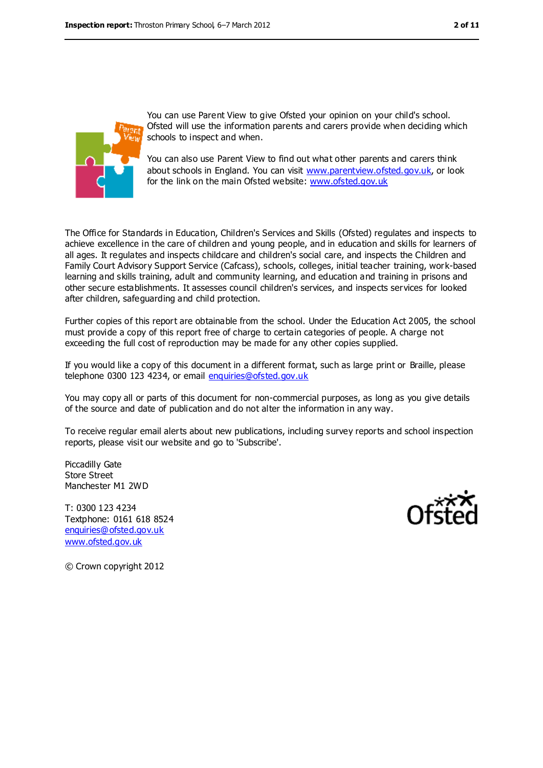

You can use Parent View to give Ofsted your opinion on your child's school. Ofsted will use the information parents and carers provide when deciding which schools to inspect and when.

You can also use Parent View to find out what other parents and carers think about schools in England. You can visit [www.parentview.ofsted.gov.uk,](../../../../../../../AppData/Local/Microsoft/Windows/Temporary%20Internet%20Files/Content.IE5/ZNBL2TC9/www.parentview.ofsted.gov.uk) or look for the link on the main Ofsted website: [www.ofsted.gov.uk](../../../../../../../AppData/Local/Microsoft/Windows/Temporary%20Internet%20Files/Content.IE5/ZNBL2TC9/www.ofsted.gov.uk)

The Office for Standards in Education, Children's Services and Skills (Ofsted) regulates and inspects to achieve excellence in the care of children and young people, and in education and skills for learners of all ages. It regulates and inspects childcare and children's social care, and inspects the Children and Family Court Advisory Support Service (Cafcass), schools, colleges, initial teacher training, work-based learning and skills training, adult and community learning, and education and training in prisons and other secure establishments. It assesses council children's services, and inspects services for looked after children, safeguarding and child protection.

Further copies of this report are obtainable from the school. Under the Education Act 2005, the school must provide a copy of this report free of charge to certain categories of people. A charge not exceeding the full cost of reproduction may be made for any other copies supplied.

If you would like a copy of this document in a different format, such as large print or Braille, please telephone 0300 123 4234, or email [enquiries@ofsted.gov.uk](mailto:enquiries@ofsted.gov.uk)

You may copy all or parts of this document for non-commercial purposes, as long as you give details of the source and date of publication and do not alter the information in any way.

To receive regular email alerts about new publications, including survey reports and school inspection reports, please visit our website and go to 'Subscribe'.

Piccadilly Gate Store Street Manchester M1 2WD

T: 0300 123 4234 Textphone: 0161 618 8524 [enquiries@ofsted.gov.uk](mailto:enquiries@ofsted.gov.uk) [www.ofsted.gov.uk](http://www.ofsted.gov.uk/)



© Crown copyright 2012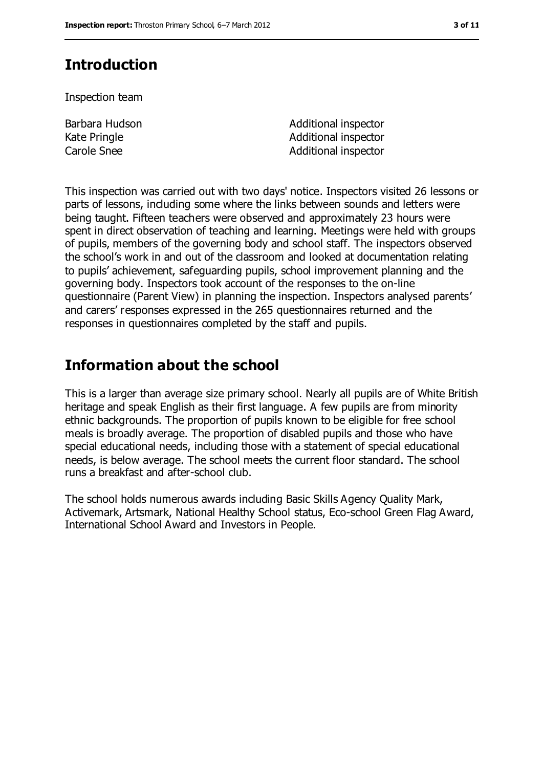# **Introduction**

Inspection team

Barbara Hudson Kate Pringle

Additional inspector Additional inspector Carole Snee **Additional inspector** 

This inspection was carried out with two days' notice. Inspectors visited 26 lessons or parts of lessons, including some where the links between sounds and letters were being taught. Fifteen teachers were observed and approximately 23 hours were spent in direct observation of teaching and learning. Meetings were held with groups of pupils, members of the governing body and school staff. The inspectors observed the school's work in and out of the classroom and looked at documentation relating to pupils' achievement, safeguarding pupils, school improvement planning and the governing body. Inspectors took account of the responses to the on-line questionnaire (Parent View) in planning the inspection. Inspectors analysed parents' and carers' responses expressed in the 265 questionnaires returned and the responses in questionnaires completed by the staff and pupils.

# **Information about the school**

This is a larger than average size primary school. Nearly all pupils are of White British heritage and speak English as their first language. A few pupils are from minority ethnic backgrounds. The proportion of pupils known to be eligible for free school meals is broadly average. The proportion of disabled pupils and those who have special educational needs, including those with a statement of special educational needs, is below average. The school meets the current floor standard. The school runs a breakfast and after-school club.

The school holds numerous awards including Basic Skills Agency Quality Mark, Activemark, Artsmark, National Healthy School status, Eco-school Green Flag Award, International School Award and Investors in People.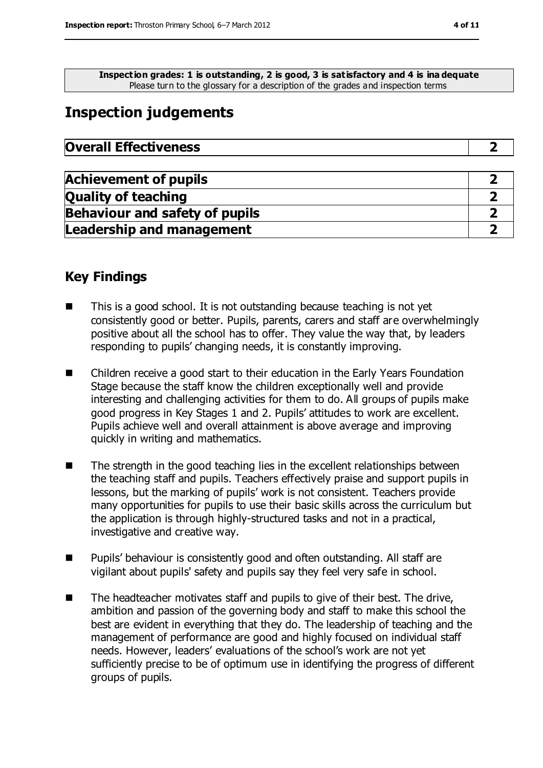**Inspection grades: 1 is outstanding, 2 is good, 3 is satisfactory and 4 is ina dequate** Please turn to the glossary for a description of the grades and inspection terms

# **Inspection judgements**

| <b>Overall Effectiveness</b> |  |
|------------------------------|--|
|------------------------------|--|

| <b>Achievement of pupils</b>          |  |
|---------------------------------------|--|
| <b>Quality of teaching</b>            |  |
| <b>Behaviour and safety of pupils</b> |  |
| <b>Leadership and management</b>      |  |

### **Key Findings**

- This is a good school. It is not outstanding because teaching is not yet consistently good or better. Pupils, parents, carers and staff are overwhelmingly positive about all the school has to offer. They value the way that, by leaders responding to pupils' changing needs, it is constantly improving.
- Children receive a good start to their education in the Early Years Foundation Stage because the staff know the children exceptionally well and provide interesting and challenging activities for them to do. All groups of pupils make good progress in Key Stages 1 and 2. Pupils' attitudes to work are excellent. Pupils achieve well and overall attainment is above average and improving quickly in writing and mathematics.
- $\blacksquare$  The strength in the good teaching lies in the excellent relationships between the teaching staff and pupils. Teachers effectively praise and support pupils in lessons, but the marking of pupils' work is not consistent. Teachers provide many opportunities for pupils to use their basic skills across the curriculum but the application is through highly-structured tasks and not in a practical, investigative and creative way.
- Pupils' behaviour is consistently good and often outstanding. All staff are vigilant about pupils' safety and pupils say they feel very safe in school.
- The headteacher motivates staff and pupils to give of their best. The drive, ambition and passion of the governing body and staff to make this school the best are evident in everything that they do. The leadership of teaching and the management of performance are good and highly focused on individual staff needs. However, leaders' evaluations of the school's work are not yet sufficiently precise to be of optimum use in identifying the progress of different groups of pupils.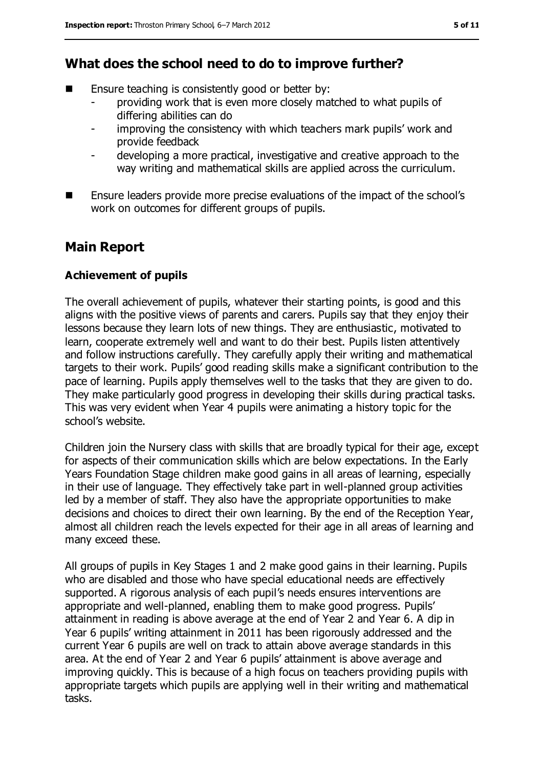### **What does the school need to do to improve further?**

- Ensure teaching is consistently good or better by:
	- providing work that is even more closely matched to what pupils of differing abilities can do
	- improving the consistency with which teachers mark pupils' work and provide feedback
	- developing a more practical, investigative and creative approach to the way writing and mathematical skills are applied across the curriculum.
- **E** Ensure leaders provide more precise evaluations of the impact of the school's work on outcomes for different groups of pupils.

### **Main Report**

#### **Achievement of pupils**

The overall achievement of pupils, whatever their starting points, is good and this aligns with the positive views of parents and carers. Pupils say that they enjoy their lessons because they learn lots of new things. They are enthusiastic, motivated to learn, cooperate extremely well and want to do their best. Pupils listen attentively and follow instructions carefully. They carefully apply their writing and mathematical targets to their work. Pupils' good reading skills make a significant contribution to the pace of learning. Pupils apply themselves well to the tasks that they are given to do. They make particularly good progress in developing their skills during practical tasks. This was very evident when Year 4 pupils were animating a history topic for the school's website.

Children join the Nursery class with skills that are broadly typical for their age, except for aspects of their communication skills which are below expectations. In the Early Years Foundation Stage children make good gains in all areas of learning, especially in their use of language. They effectively take part in well-planned group activities led by a member of staff. They also have the appropriate opportunities to make decisions and choices to direct their own learning. By the end of the Reception Year, almost all children reach the levels expected for their age in all areas of learning and many exceed these.

All groups of pupils in Key Stages 1 and 2 make good gains in their learning. Pupils who are disabled and those who have special educational needs are effectively supported. A rigorous analysis of each pupil's needs ensures interventions are appropriate and well-planned, enabling them to make good progress. Pupils' attainment in reading is above average at the end of Year 2 and Year 6. A dip in Year 6 pupils' writing attainment in 2011 has been rigorously addressed and the current Year 6 pupils are well on track to attain above average standards in this area. At the end of Year 2 and Year 6 pupils' attainment is above average and improving quickly. This is because of a high focus on teachers providing pupils with appropriate targets which pupils are applying well in their writing and mathematical tasks.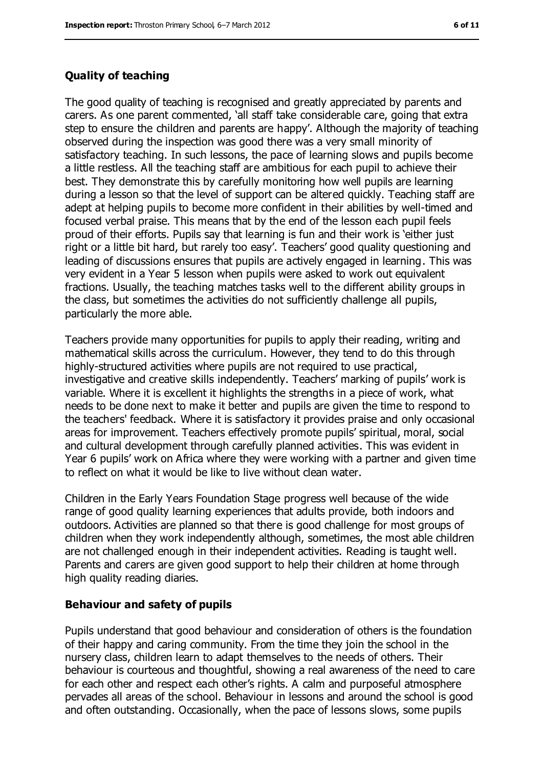#### **Quality of teaching**

The good quality of teaching is recognised and greatly appreciated by parents and carers. As one parent commented, 'all staff take considerable care, going that extra step to ensure the children and parents are happy'. Although the majority of teaching observed during the inspection was good there was a very small minority of satisfactory teaching. In such lessons, the pace of learning slows and pupils become a little restless. All the teaching staff are ambitious for each pupil to achieve their best. They demonstrate this by carefully monitoring how well pupils are learning during a lesson so that the level of support can be altered quickly. Teaching staff are adept at helping pupils to become more confident in their abilities by well-timed and focused verbal praise. This means that by the end of the lesson each pupil feels proud of their efforts. Pupils say that learning is fun and their work is 'either just right or a little bit hard, but rarely too easy'. Teachers' good quality questioning and leading of discussions ensures that pupils are actively engaged in learning. This was very evident in a Year 5 lesson when pupils were asked to work out equivalent fractions. Usually, the teaching matches tasks well to the different ability groups in the class, but sometimes the activities do not sufficiently challenge all pupils, particularly the more able.

Teachers provide many opportunities for pupils to apply their reading, writing and mathematical skills across the curriculum. However, they tend to do this through highly-structured activities where pupils are not required to use practical, investigative and creative skills independently. Teachers' marking of pupils' work is variable. Where it is excellent it highlights the strengths in a piece of work, what needs to be done next to make it better and pupils are given the time to respond to the teachers' feedback. Where it is satisfactory it provides praise and only occasional areas for improvement. Teachers effectively promote pupils' spiritual, moral, social and cultural development through carefully planned activities. This was evident in Year 6 pupils' work on Africa where they were working with a partner and given time to reflect on what it would be like to live without clean water.

Children in the Early Years Foundation Stage progress well because of the wide range of good quality learning experiences that adults provide, both indoors and outdoors. Activities are planned so that there is good challenge for most groups of children when they work independently although, sometimes, the most able children are not challenged enough in their independent activities. Reading is taught well. Parents and carers are given good support to help their children at home through high quality reading diaries.

#### **Behaviour and safety of pupils**

Pupils understand that good behaviour and consideration of others is the foundation of their happy and caring community. From the time they join the school in the nursery class, children learn to adapt themselves to the needs of others. Their behaviour is courteous and thoughtful, showing a real awareness of the need to care for each other and respect each other's rights. A calm and purposeful atmosphere pervades all areas of the school. Behaviour in lessons and around the school is good and often outstanding. Occasionally, when the pace of lessons slows, some pupils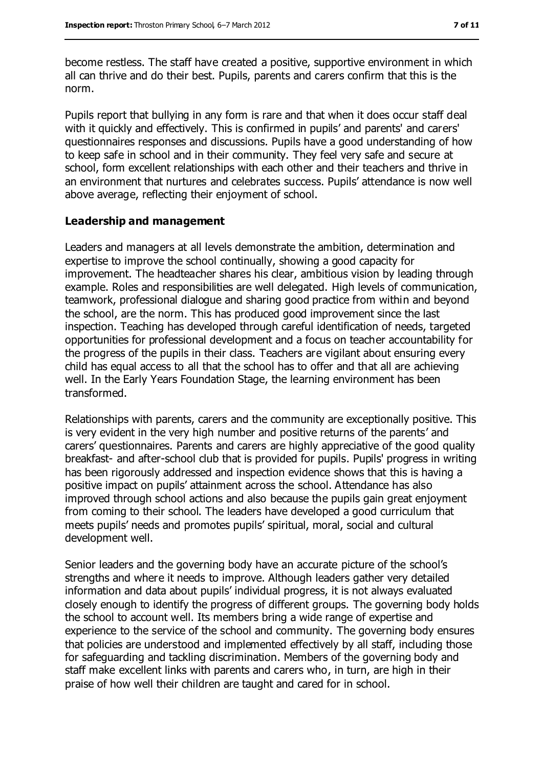become restless. The staff have created a positive, supportive environment in which all can thrive and do their best. Pupils, parents and carers confirm that this is the norm.

Pupils report that bullying in any form is rare and that when it does occur staff deal with it quickly and effectively. This is confirmed in pupils' and parents' and carers' questionnaires responses and discussions. Pupils have a good understanding of how to keep safe in school and in their community. They feel very safe and secure at school, form excellent relationships with each other and their teachers and thrive in an environment that nurtures and celebrates success. Pupils' attendance is now well above average, reflecting their enjoyment of school.

#### **Leadership and management**

Leaders and managers at all levels demonstrate the ambition, determination and expertise to improve the school continually, showing a good capacity for improvement. The headteacher shares his clear, ambitious vision by leading through example. Roles and responsibilities are well delegated. High levels of communication, teamwork, professional dialogue and sharing good practice from within and beyond the school, are the norm. This has produced good improvement since the last inspection. Teaching has developed through careful identification of needs, targeted opportunities for professional development and a focus on teacher accountability for the progress of the pupils in their class. Teachers are vigilant about ensuring every child has equal access to all that the school has to offer and that all are achieving well. In the Early Years Foundation Stage, the learning environment has been transformed.

Relationships with parents, carers and the community are exceptionally positive. This is very evident in the very high number and positive returns of the parents' and carers' questionnaires. Parents and carers are highly appreciative of the good quality breakfast- and after-school club that is provided for pupils. Pupils' progress in writing has been rigorously addressed and inspection evidence shows that this is having a positive impact on pupils' attainment across the school. Attendance has also improved through school actions and also because the pupils gain great enjoyment from coming to their school. The leaders have developed a good curriculum that meets pupils' needs and promotes pupils' spiritual, moral, social and cultural development well.

Senior leaders and the governing body have an accurate picture of the school's strengths and where it needs to improve. Although leaders gather very detailed information and data about pupils' individual progress, it is not always evaluated closely enough to identify the progress of different groups. The governing body holds the school to account well. Its members bring a wide range of expertise and experience to the service of the school and community. The governing body ensures that policies are understood and implemented effectively by all staff, including those for safeguarding and tackling discrimination. Members of the governing body and staff make excellent links with parents and carers who, in turn, are high in their praise of how well their children are taught and cared for in school.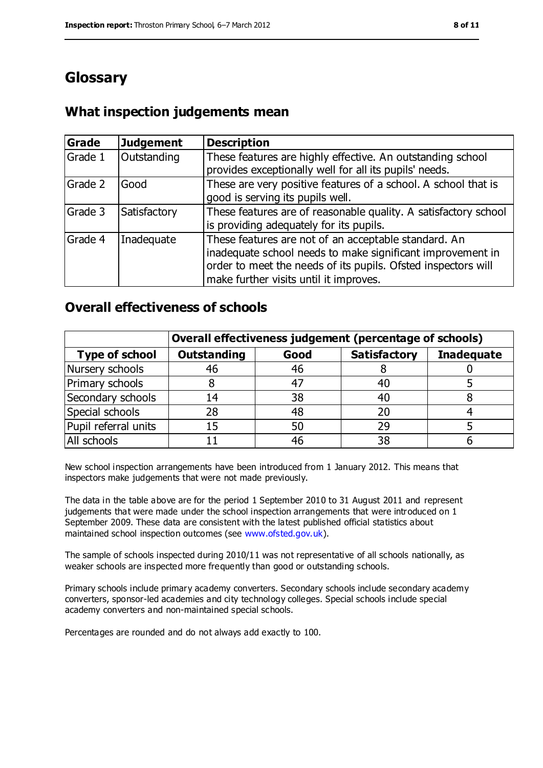# **Glossary**

### **What inspection judgements mean**

| Grade   | <b>Judgement</b> | <b>Description</b>                                                                                                                                                                                                            |
|---------|------------------|-------------------------------------------------------------------------------------------------------------------------------------------------------------------------------------------------------------------------------|
| Grade 1 | Outstanding      | These features are highly effective. An outstanding school<br>provides exceptionally well for all its pupils' needs.                                                                                                          |
| Grade 2 | Good             | These are very positive features of a school. A school that is<br>good is serving its pupils well.                                                                                                                            |
| Grade 3 | Satisfactory     | These features are of reasonable quality. A satisfactory school<br>is providing adequately for its pupils.                                                                                                                    |
| Grade 4 | Inadequate       | These features are not of an acceptable standard. An<br>inadequate school needs to make significant improvement in<br>order to meet the needs of its pupils. Ofsted inspectors will<br>make further visits until it improves. |

### **Overall effectiveness of schools**

|                       | Overall effectiveness judgement (percentage of schools) |      |                     |                   |
|-----------------------|---------------------------------------------------------|------|---------------------|-------------------|
| <b>Type of school</b> | <b>Outstanding</b>                                      | Good | <b>Satisfactory</b> | <b>Inadequate</b> |
| Nursery schools       | 46                                                      | 46   |                     |                   |
| Primary schools       |                                                         | -47  | 40                  |                   |
| Secondary schools     | 14                                                      | 38   | 40                  |                   |
| Special schools       | 28                                                      | 48   | 20                  |                   |
| Pupil referral units  | 15                                                      | 50   | 29                  |                   |
| All schools           |                                                         | 46   | 38                  |                   |

New school inspection arrangements have been introduced from 1 January 2012. This means that inspectors make judgements that were not made previously.

The data in the table above are for the period 1 September 2010 to 31 August 2011 and represent judgements that were made under the school inspection arrangements that were introduced on 1 September 2009. These data are consistent with the latest published official statistics about maintained school inspection outcomes (see [www.ofsted.gov.uk\)](../../../../../../../AppData/Local/Microsoft/Windows/Temporary%20Internet%20Files/Content.IE5/ZNBL2TC9/www.ofsted.gov.uk).

The sample of schools inspected during 2010/11 was not representative of all schools nationally, as weaker schools are inspected more frequently than good or outstanding schools.

Primary schools include primary academy converters. Secondary schools include secondary academy converters, sponsor-led academies and city technology colleges. Special schools include special academy converters and non-maintained special schools.

Percentages are rounded and do not always add exactly to 100.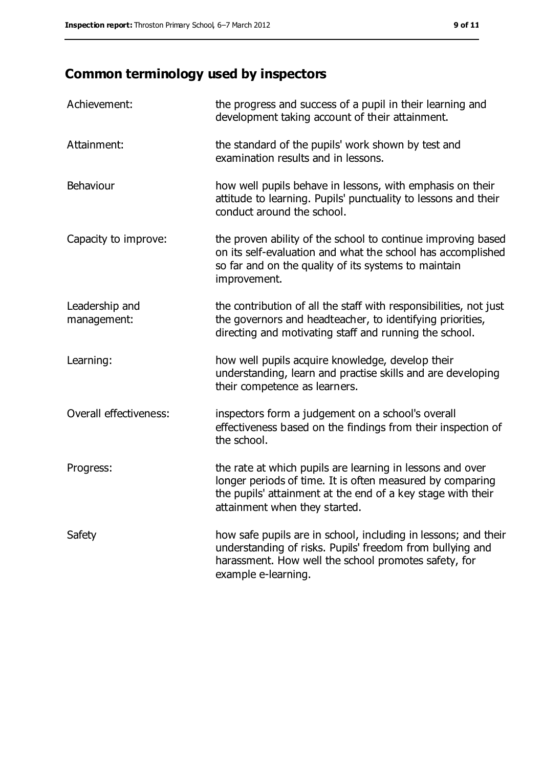# **Common terminology used by inspectors**

| Achievement:                  | the progress and success of a pupil in their learning and<br>development taking account of their attainment.                                                                                                           |
|-------------------------------|------------------------------------------------------------------------------------------------------------------------------------------------------------------------------------------------------------------------|
| Attainment:                   | the standard of the pupils' work shown by test and<br>examination results and in lessons.                                                                                                                              |
| Behaviour                     | how well pupils behave in lessons, with emphasis on their<br>attitude to learning. Pupils' punctuality to lessons and their<br>conduct around the school.                                                              |
| Capacity to improve:          | the proven ability of the school to continue improving based<br>on its self-evaluation and what the school has accomplished<br>so far and on the quality of its systems to maintain<br>improvement.                    |
| Leadership and<br>management: | the contribution of all the staff with responsibilities, not just<br>the governors and headteacher, to identifying priorities,<br>directing and motivating staff and running the school.                               |
| Learning:                     | how well pupils acquire knowledge, develop their<br>understanding, learn and practise skills and are developing<br>their competence as learners.                                                                       |
| Overall effectiveness:        | inspectors form a judgement on a school's overall<br>effectiveness based on the findings from their inspection of<br>the school.                                                                                       |
| Progress:                     | the rate at which pupils are learning in lessons and over<br>longer periods of time. It is often measured by comparing<br>the pupils' attainment at the end of a key stage with their<br>attainment when they started. |
| Safety                        | how safe pupils are in school, including in lessons; and their<br>understanding of risks. Pupils' freedom from bullying and<br>harassment. How well the school promotes safety, for<br>example e-learning.             |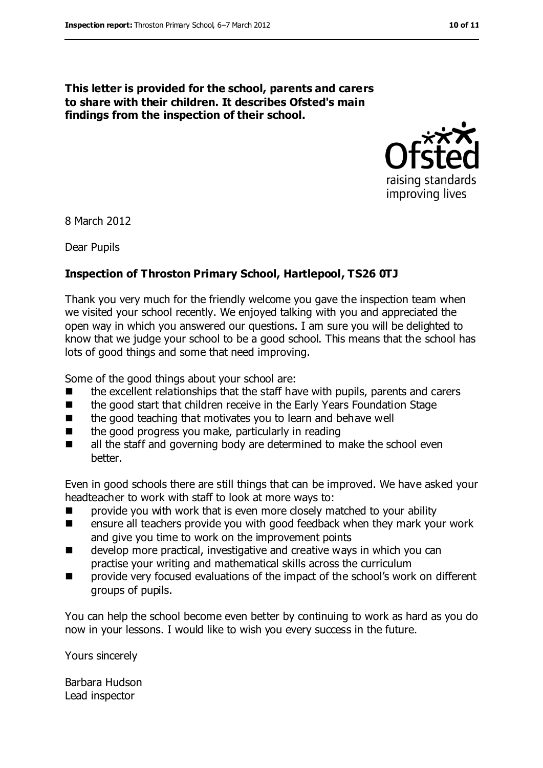#### **This letter is provided for the school, parents and carers to share with their children. It describes Ofsted's main findings from the inspection of their school.**



8 March 2012

Dear Pupils

#### **Inspection of Throston Primary School, Hartlepool, TS26 0TJ**

Thank you very much for the friendly welcome you gave the inspection team when we visited your school recently. We enjoyed talking with you and appreciated the open way in which you answered our questions. I am sure you will be delighted to know that we judge your school to be a good school. This means that the school has lots of good things and some that need improving.

Some of the good things about your school are:

- $\blacksquare$  the excellent relationships that the staff have with pupils, parents and carers
- the good start that children receive in the Early Years Foundation Stage
- the good teaching that motivates you to learn and behave well
- $\blacksquare$  the good progress you make, particularly in reading
- all the staff and governing body are determined to make the school even better.

Even in good schools there are still things that can be improved. We have asked your headteacher to work with staff to look at more ways to:

- **EXECUTE:** provide you with work that is even more closely matched to your ability
- **EXECUTE:** ensure all teachers provide you with good feedback when they mark your work and give you time to work on the improvement points
- develop more practical, investigative and creative ways in which you can practise your writing and mathematical skills across the curriculum
- **Part** provide very focused evaluations of the impact of the school's work on different groups of pupils.

You can help the school become even better by continuing to work as hard as you do now in your lessons. I would like to wish you every success in the future.

Yours sincerely

Barbara Hudson Lead inspector